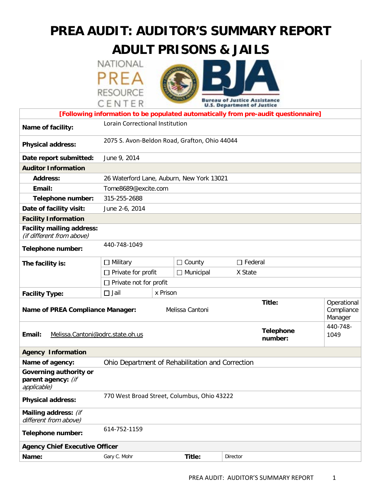# **PREA AUDIT: AUDITOR'S SUMMARY REPORT**

# **ADULT PRISONS & JAILS**

| NATIONAL        |  |
|-----------------|--|
|                 |  |
| <b>RESOURCE</b> |  |
| CENTER          |  |



|                                                                                    | CENIER                                           |  |                                           | <b>U.S. Department of Justice</b> |                                      |                  |
|------------------------------------------------------------------------------------|--------------------------------------------------|--|-------------------------------------------|-----------------------------------|--------------------------------------|------------------|
| [Following information to be populated automatically from pre-audit questionnaire] |                                                  |  |                                           |                                   |                                      |                  |
| Name of facility:                                                                  | Lorain Correctional Institution                  |  |                                           |                                   |                                      |                  |
| <b>Physical address:</b>                                                           | 2075 S. Avon-Beldon Road, Grafton, Ohio 44044    |  |                                           |                                   |                                      |                  |
| Date report submitted:                                                             | June 9, 2014                                     |  |                                           |                                   |                                      |                  |
| <b>Auditor Information</b>                                                         |                                                  |  |                                           |                                   |                                      |                  |
| <b>Address:</b>                                                                    |                                                  |  | 26 Waterford Lane, Auburn, New York 13021 |                                   |                                      |                  |
| Email:                                                                             | Tome8689@excite.com                              |  |                                           |                                   |                                      |                  |
| Telephone number:                                                                  | 315-255-2688                                     |  |                                           |                                   |                                      |                  |
| Date of facility visit:                                                            | June 2-6, 2014                                   |  |                                           |                                   |                                      |                  |
| <b>Facility Information</b>                                                        |                                                  |  |                                           |                                   |                                      |                  |
| <b>Facility mailing address:</b><br>(if different from above)                      |                                                  |  |                                           |                                   |                                      |                  |
| Telephone number:                                                                  | 440-748-1049                                     |  |                                           |                                   |                                      |                  |
| The facility is:                                                                   | $\Box$ Military                                  |  | $\Box$ County                             | $\Box$ Federal                    |                                      |                  |
|                                                                                    | $\Box$ Private for profit                        |  | $\Box$ Municipal                          | X State                           |                                      |                  |
|                                                                                    | $\Box$ Private not for profit                    |  |                                           |                                   |                                      |                  |
| <b>Facility Type:</b>                                                              | $\Box$ Jail<br>x Prison                          |  |                                           |                                   |                                      |                  |
| <b>Name of PREA Compliance Manager:</b><br>Melissa Cantoni                         |                                                  |  |                                           | Title:                            | Operational<br>Compliance<br>Manager |                  |
| Email:<br>Melissa.Cantoni@odrc.state.oh.us                                         |                                                  |  |                                           |                                   | <b>Telephone</b><br>number:          | 440-748-<br>1049 |
| <b>Agency Information</b>                                                          |                                                  |  |                                           |                                   |                                      |                  |
| Name of agency:                                                                    | Ohio Department of Rehabilitation and Correction |  |                                           |                                   |                                      |                  |
| Governing authority or<br>parent agency: (if<br>applicable)                        |                                                  |  |                                           |                                   |                                      |                  |
| <b>Physical address:</b>                                                           | 770 West Broad Street, Columbus, Ohio 43222      |  |                                           |                                   |                                      |                  |
| Mailing address: (if<br>different from above)                                      |                                                  |  |                                           |                                   |                                      |                  |
| Telephone number:                                                                  | 614-752-1159                                     |  |                                           |                                   |                                      |                  |
| <b>Agency Chief Executive Officer</b>                                              |                                                  |  |                                           |                                   |                                      |                  |
| Name:                                                                              | Gary C. Mohr                                     |  | Title:                                    | Director                          |                                      |                  |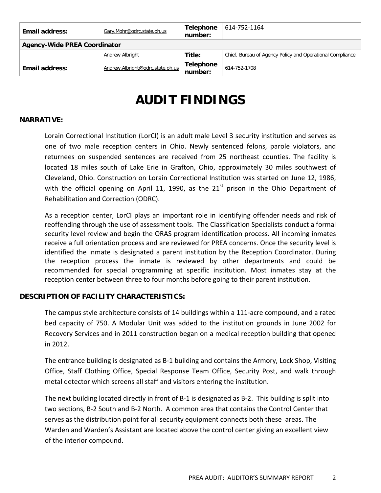|                                     |                                  | number:                     |                                                           |  |  |
|-------------------------------------|----------------------------------|-----------------------------|-----------------------------------------------------------|--|--|
| Email address:                      | Andrew.Albright@odrc.state.oh.us | <b>Telephone</b>            | 614-752-1708                                              |  |  |
|                                     | Andrew Albright                  | Title:                      | Chief, Bureau of Agency Policy and Operational Compliance |  |  |
| <b>Agency-Wide PREA Coordinator</b> |                                  |                             |                                                           |  |  |
| Email address:                      | Gary.Mohr@odrc.state.oh.us       | <b>Telephone</b><br>number: | 614-752-1164                                              |  |  |
|                                     |                                  |                             |                                                           |  |  |

# **AUDIT FINDINGS**

#### **NARRATIVE:**

Lorain Correctional Institution (LorCI) is an adult male Level 3 security institution and serves as one of two male reception centers in Ohio. Newly sentenced felons, parole violators, and returnees on suspended sentences are received from 25 northeast counties. The facility is located 18 miles south of Lake Erie in Grafton, Ohio, approximately 30 miles southwest of Cleveland, Ohio. Construction on Lorain Correctional Institution was started on June 12, 1986, with the official opening on April 11, 1990, as the  $21<sup>st</sup>$  prison in the Ohio Department of Rehabilitation and Correction (ODRC).

As a reception center, LorCI plays an important role in identifying offender needs and risk of reoffending through the use of assessment tools. The Classification Specialists conduct a formal security level review and begin the ORAS program identification process. All incoming inmates receive a full orientation process and are reviewed for PREA concerns. Once the security level is identified the inmate is designated a parent institution by the Reception Coordinator. During the reception process the inmate is reviewed by other departments and could be recommended for special programming at specific institution. Most inmates stay at the reception center between three to four months before going to their parent institution.

#### **DESCRIPTION OF FACILITY CHARACTERISTICS:**

The campus style architecture consists of 14 buildings within a 111-acre compound, and a rated bed capacity of 750. A Modular Unit was added to the institution grounds in June 2002 for Recovery Services and in 2011 construction began on a medical reception building that opened in 2012.

The entrance building is designated as B-1 building and contains the Armory, Lock Shop, Visiting Office, Staff Clothing Office, Special Response Team Office, Security Post, and walk through metal detector which screens all staff and visitors entering the institution.

The next building located directly in front of B-1 is designated as B-2. This building is split into two sections, B-2 South and B-2 North. A common area that contains the Control Center that serves as the distribution point for all security equipment connects both these areas. The Warden and Warden's Assistant are located above the control center giving an excellent view of the interior compound.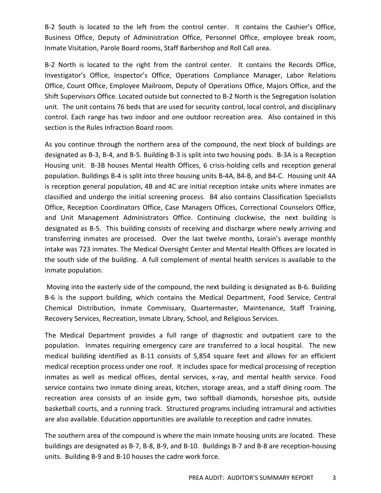B-2 South is located to the left from the control center. It contains the Cashier's Office, Business Office, Deputy of Administration Office, Personnel Office, employee break room, Inmate Visitation, Parole Board rooms, Staff Barbershop and Roll Call area.

B-2 North is located to the right from the control center. It contains the Records Office, Investigator's Office, Inspector's Office, Operations Compliance Manager, Labor Relations Office, Count Office, Employee Mailroom, Deputy of Operations Office, Majors Office, and the Shift Supervisors Office. Located outside but connected to B-2 North is the Segregation Isolation unit. The unit contains 76 beds that are used for security control, local control, and disciplinary control. Each range has two indoor and one outdoor recreation area. Also contained in this section is the Rules Infraction Board room.

As you continue through the northern area of the compound, the next block of buildings are designated as B-3, B-4, and B-5. Building B-3 is split into two housing pods. B-3A is a Reception Housing unit. B-3B houses Mental Health Offices, 6 crisis-holding cells and reception general population. Buildings B-4 is split into three housing units B-4A, B4-B, and B4-C. Housing unit 4A is reception general population, 4B and 4C are initial reception intake units where inmates are classified and undergo the initial screening process. B4 also contains Classification Specialists Office, Reception Coordinators Office, Case Managers Offices, Correctional Counselors Office, and Unit Management Administrators Office. Continuing clockwise, the next building is designated as B-5. This building consists of receiving and discharge where newly arriving and transferring inmates are processed. Over the last twelve months, Lorain's average monthly intake was 723 inmates. The Medical Oversight Center and Mental Health Offices are located in the south side of the building. A full complement of mental health services is available to the inmate population.

Moving into the easterly side of the compound, the next building is designated as B-6. Building B-6 is the support building, which contains the Medical Department, Food Service, Central Chemical Distribution, Inmate Commissary, Quartermaster, Maintenance, Staff Training, Recovery Services, Recreation, Inmate Library, School, and Religious Services.

The Medical Department provides a full range of diagnostic and outpatient care to the population. Inmates requiring emergency care are transferred to a local hospital. The new medical building identified as B-11 consists of 5,854 square feet and allows for an efficient medical reception process under one roof. It includes space for medical processing of reception inmates as well as medical offices, dental services, x-ray, and mental health service. Food service contains two inmate dining areas, kitchen, storage areas, and a staff dining room. The recreation area consists of an inside gym, two softball diamonds, horseshoe pits, outside basketball courts, and a running track. Structured programs including intramural and activities are also available. Education opportunities are available to reception and cadre inmates.

The southern area of the compound is where the main inmate housing units are located. These buildings are designated as B-7, B-8, B-9, and B-10. Buildings B-7 and B-8 are reception-housing units. Building B-9 and B-10 houses the cadre work force.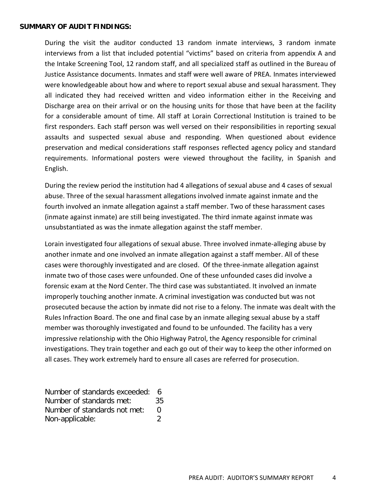#### **SUMMARY OF AUDIT FINDINGS:**

During the visit the auditor conducted 13 random inmate interviews, 3 random inmate interviews from a list that included potential "victims" based on criteria from appendix A and the Intake Screening Tool, 12 random staff, and all specialized staff as outlined in the Bureau of Justice Assistance documents. Inmates and staff were well aware of PREA. Inmates interviewed were knowledgeable about how and where to report sexual abuse and sexual harassment. They all indicated they had received written and video information either in the Receiving and Discharge area on their arrival or on the housing units for those that have been at the facility for a considerable amount of time. All staff at Lorain Correctional Institution is trained to be first responders. Each staff person was well versed on their responsibilities in reporting sexual assaults and suspected sexual abuse and responding. When questioned about evidence preservation and medical considerations staff responses reflected agency policy and standard requirements. Informational posters were viewed throughout the facility, in Spanish and English.

During the review period the institution had 4 allegations of sexual abuse and 4 cases of sexual abuse. Three of the sexual harassment allegations involved inmate against inmate and the fourth involved an inmate allegation against a staff member. Two of these harassment cases (inmate against inmate) are still being investigated. The third inmate against inmate was unsubstantiated as was the inmate allegation against the staff member.

Lorain investigated four allegations of sexual abuse. Three involved inmate-alleging abuse by another inmate and one involved an inmate allegation against a staff member. All of these cases were thoroughly investigated and are closed. Of the three-inmate allegation against inmate two of those cases were unfounded. One of these unfounded cases did involve a forensic exam at the Nord Center. The third case was substantiated. It involved an inmate improperly touching another inmate. A criminal investigation was conducted but was not prosecuted because the action by inmate did not rise to a felony. The inmate was dealt with the Rules Infraction Board. The one and final case by an inmate alleging sexual abuse by a staff member was thoroughly investigated and found to be unfounded. The facility has a very impressive relationship with the Ohio Highway Patrol, the Agency responsible for criminal investigations. They train together and each go out of their way to keep the other informed on all cases. They work extremely hard to ensure all cases are referred for prosecution.

Number of standards exceeded: 6 Number of standards met: 35 Number of standards not met: 0 Non-applicable: 2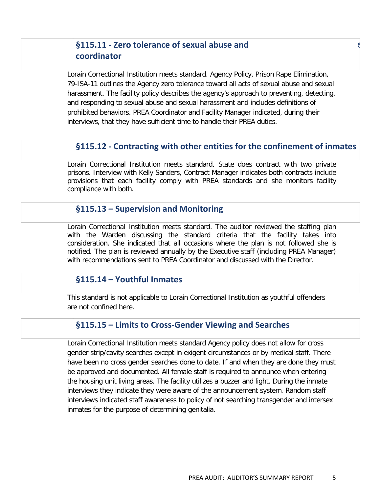# **§115.11 - Zero tolerance of sexual abuse and** s **coordinator**

Lorain Correctional Institution meets standard. Agency Policy, Prison Rape Elimination, 79-ISA-11 outlines the Agency zero tolerance toward all acts of sexual abuse and sexual harassment. The facility policy describes the agency's approach to preventing, detecting, and responding to sexual abuse and sexual harassment and includes definitions of prohibited behaviors. PREA Coordinator and Facility Manager indicated, during their interviews, that they have sufficient time to handle their PREA duties.

## **§115.12 - Contracting with other entities for the confinement of inmates**

Lorain Correctional Institution meets standard. State does contract with two private prisons. Interview with Kelly Sanders, Contract Manager indicates both contracts include provisions that each facility comply with PREA standards and she monitors facility compliance with both.

#### **§115.13 – Supervision and Monitoring**

Lorain Correctional Institution meets standard. The auditor reviewed the staffing plan with the Warden discussing the standard criteria that the facility takes into consideration. She indicated that all occasions where the plan is not followed she is notified. The plan is reviewed annually by the Executive staff (including PREA Manager) with recommendations sent to PREA Coordinator and discussed with the Director.

#### **§115.14 – Youthful Inmates**

This standard is not applicable to Lorain Correctional Institution as youthful offenders are not confined here.

### **§115.15 – Limits to Cross-Gender Viewing and Searches**

Lorain Correctional Institution meets standard Agency policy does not allow for cross gender strip/cavity searches except in exigent circumstances or by medical staff. There have been no cross gender searches done to date. If and when they are done they must be approved and documented. All female staff is required to announce when entering the housing unit living areas. The facility utilizes a buzzer and light. During the inmate interviews they indicate they were aware of the announcement system. Random staff interviews indicated staff awareness to policy of not searching transgender and intersex inmates for the purpose of determining genitalia.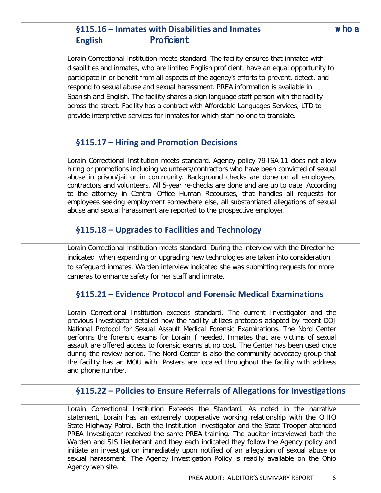# **§115.16 – Inmates with Disabilities and Inmates** w ho a **English** Proficient

Lorain Correctional Institution meets standard. The facility ensures that inmates with disabilities and inmates, who are limited English proficient, have an equal opportunity to participate in or benefit from all aspects of the agency's efforts to prevent, detect, and respond to sexual abuse and sexual harassment. PREA information is available in Spanish and English. The facility shares a sign language staff person with the facility across the street. Facility has a contract with Affordable Languages Services, LTD to provide interpretive services for inmates for which staff no one to translate.

## **§115.17 – Hiring and Promotion Decisions**

Lorain Correctional Institution meets standard. Agency policy 79-ISA-11 does not allow hiring or promotions including volunteers/contractors who have been convicted of sexual abuse in prison/jail or in community. Background checks are done on all employees, contractors and volunteers. All 5-year re-checks are done and are up to date. According to the attorney in Central Office Human Recourses, that handles all requests for employees seeking employment somewhere else, all substantiated allegations of sexual abuse and sexual harassment are reported to the prospective employer.

## **§115.18 – Upgrades to Facilities and Technology**

Lorain Correctional Institution meets standard. During the interview with the Director he indicated when expanding or upgrading new technologies are taken into consideration to safeguard inmates. Warden interview indicated she was submitting requests for more cameras to enhance safety for her staff and inmate.

## **§115.21 – Evidence Protocol and Forensic Medical Examinations**

Lorain Correctional Institution exceeds standard. The current Investigator and the previous Investigator detailed how the facility utilizes protocols adapted by recent DOJ National Protocol for Sexual Assault Medical Forensic Examinations. The Nord Center performs the forensic exams for Lorain if needed. Inmates that are victims of sexual assault are offered access to forensic exams at no cost. The Center has been used once during the review period. The Nord Center is also the community advocacy group that the facility has an MOU with. Posters are located throughout the facility with address and phone number.

## **§115.22 – Policies to Ensure Referrals of Allegations for Investigations**

Lorain Correctional Institution Exceeds the Standard. As noted in the narrative statement, Lorain has an extremely cooperative working relationship with the OHIO State Highway Patrol. Both the Institution Investigator and the State Trooper attended PREA Investigator received the same PREA training. The auditor interviewed both the Warden and SIS Lieutenant and they each indicated they follow the Agency policy and initiate an investigation immediately upon notified of an allegation of sexual abuse or sexual harassment. The Agency Investigation Policy is readily available on the Ohio Agency web site.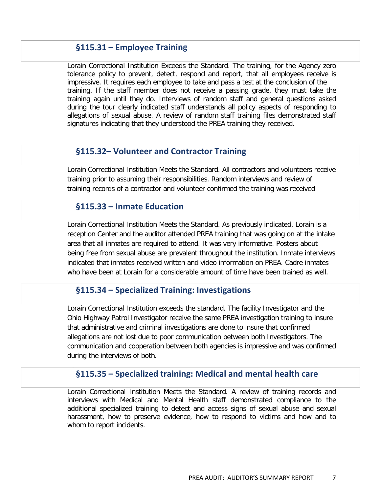## **§115.31 – Employee Training**

Lorain Correctional Institution Exceeds the Standard. The training, for the Agency zero tolerance policy to prevent, detect, respond and report, that all employees receive is impressive. It requires each employee to take and pass a test at the conclusion of the training. If the staff member does not receive a passing grade, they must take the training again until they do. Interviews of random staff and general questions asked during the tour clearly indicated staff understands all policy aspects of responding to allegations of sexual abuse. A review of random staff training files demonstrated staff signatures indicating that they understood the PREA training they received.

## **§115.32– Volunteer and Contractor Training**

Lorain Correctional Institution Meets the Standard. All contractors and volunteers receive training prior to assuming their responsibilities. Random interviews and review of training records of a contractor and volunteer confirmed the training was received

## **§115.33 – Inmate Education**

Lorain Correctional Institution Meets the Standard. As previously indicated, Lorain is a reception Center and the auditor attended PREA training that was going on at the intake area that all inmates are required to attend. It was very informative. Posters about being free from sexual abuse are prevalent throughout the institution. Inmate interviews indicated that inmates received written and video information on PREA. Cadre inmates who have been at Lorain for a considerable amount of time have been trained as well.

#### **§115.34 – Specialized Training: Investigations**

Lorain Correctional Institution exceeds the standard. The facility Investigator and the Ohio Highway Patrol Investigator receive the same PREA investigation training to insure that administrative and criminal investigations are done to insure that confirmed allegations are not lost due to poor communication between both Investigators. The communication and cooperation between both agencies is impressive and was confirmed during the interviews of both.

## **§115.35 – Specialized training: Medical and mental health care**

Lorain Correctional Institution Meets the Standard. A review of training records and interviews with Medical and Mental Health staff demonstrated compliance to the additional specialized training to detect and access signs of sexual abuse and sexual harassment, how to preserve evidence, how to respond to victims and how and to whom to report incidents.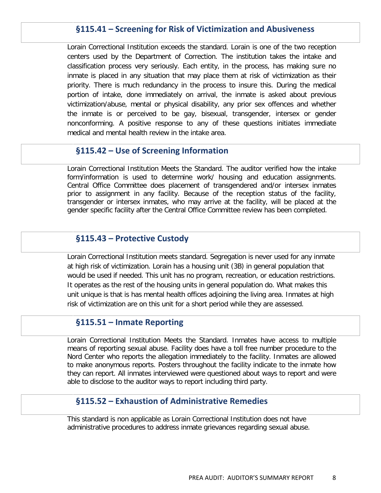## **§115.41 – Screening for Risk of Victimization and Abusiveness**

Lorain Correctional Institution exceeds the standard. Lorain is one of the two reception centers used by the Department of Correction. The institution takes the intake and classification process very seriously. Each entity, in the process, has making sure no inmate is placed in any situation that may place them at risk of victimization as their priority. There is much redundancy in the process to insure this. During the medical portion of intake, done immediately on arrival, the inmate is asked about previous victimization/abuse, mental or physical disability, any prior sex offences and whether the inmate is or perceived to be gay, bisexual, transgender, intersex or gender nonconforming. A positive response to any of these questions initiates immediate medical and mental health review in the intake area.

#### **§115.42 – Use of Screening Information**

Lorain Correctional Institution Meets the Standard. The auditor verified how the intake form/information is used to determine work/ housing and education assignments. Central Office Committee does placement of transgendered and/or intersex inmates prior to assignment in any facility. Because of the reception status of the facility, transgender or intersex inmates, who may arrive at the facility, will be placed at the gender specific facility after the Central Office Committee review has been completed.

#### **§115.43 – Protective Custody**

Lorain Correctional Institution meets standard. Segregation is never used for any inmate at high risk of victimization. Lorain has a housing unit (3B) in general population that would be used if needed. This unit has no program, recreation, or education restrictions. It operates as the rest of the housing units in general population do. What makes this unit unique is that is has mental health offices adjoining the living area. Inmates at high risk of victimization are on this unit for a short period while they are assessed.

#### **§115.51 – Inmate Reporting**

Lorain Correctional Institution Meets the Standard. Inmates have access to multiple means of reporting sexual abuse. Facility does have a toll free number procedure to the Nord Center who reports the allegation immediately to the facility. Inmates are allowed to make anonymous reports. Posters throughout the facility indicate to the inmate how they can report. All inmates interviewed were questioned about ways to report and were able to disclose to the auditor ways to report including third party.

#### **§115.52 – Exhaustion of Administrative Remedies**

This standard is non applicable as Lorain Correctional Institution does not have administrative procedures to address inmate grievances regarding sexual abuse.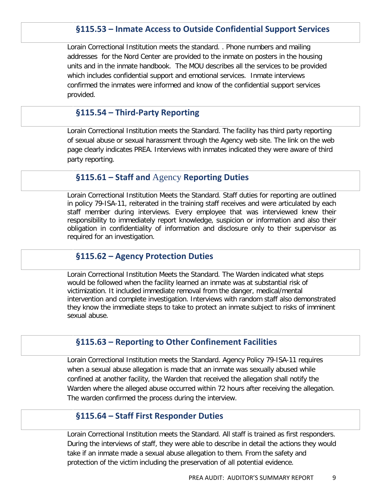## **§115.53 – Inmate Access to Outside Confidential Support Services**

Lorain Correctional Institution meets the standard. . Phone numbers and mailing addresses for the Nord Center are provided to the inmate on posters in the housing units and in the inmate handbook. The MOU describes all the services to be provided which includes confidential support and emotional services. Inmate interviews confirmed the inmates were informed and know of the confidential support services provided.

#### **§115.54 – Third-Party Reporting**

Lorain Correctional Institution meets the Standard. The facility has third party reporting of sexual abuse or sexual harassment through the Agency web site. The link on the web page clearly indicates PREA. Interviews with inmates indicated they were aware of third party reporting.

## **§115.61 – Staff and** Agency **Reporting Duties**

Lorain Correctional Institution Meets the Standard. Staff duties for reporting are outlined in policy 79-ISA-11, reiterated in the training staff receives and were articulated by each staff member during interviews. Every employee that was interviewed knew their responsibility to immediately report knowledge, suspicion or information and also their obligation in confidentiality of information and disclosure only to their supervisor as required for an investigation.

#### **§115.62 – Agency Protection Duties**

Lorain Correctional Institution Meets the Standard. The Warden indicated what steps would be followed when the facility learned an inmate was at substantial risk of victimization. It included immediate removal from the danger, medical/mental intervention and complete investigation. Interviews with random staff also demonstrated they know the immediate steps to take to protect an inmate subject to risks of imminent sexual abuse.

#### **§115.63 – Reporting to Other Confinement Facilities**

Lorain Correctional Institution meets the Standard. Agency Policy 79-ISA-11 requires when a sexual abuse allegation is made that an inmate was sexually abused while confined at another facility, the Warden that received the allegation shall notify the Warden where the alleged abuse occurred within 72 hours after receiving the allegation. The warden confirmed the process during the interview.

## **§115.64 – Staff First Responder Duties**

Lorain Correctional Institution meets the Standard. All staff is trained as first responders. During the interviews of staff, they were able to describe in detail the actions they would take if an inmate made a sexual abuse allegation to them. From the safety and protection of the victim including the preservation of all potential evidence.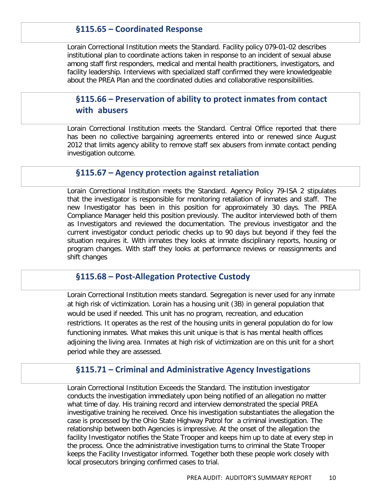## **§115.65 – Coordinated Response**

Lorain Correctional Institution meets the Standard. Facility policy 079-01-02 describes institutional plan to coordinate actions taken in response to an incident of sexual abuse among staff first responders, medical and mental health practitioners, investigators, and facility leadership. Interviews with specialized staff confirmed they were knowledgeable about the PREA Plan and the coordinated duties and collaborative responsibilities.

# **§115.66 – Preservation of ability to protect inmates from contact with abusers**

Lorain Correctional Institution meets the Standard. Central Office reported that there has been no collective bargaining agreements entered into or renewed since August 2012 that limits agency ability to remove staff sex abusers from inmate contact pending investigation outcome.

## **§115.67 – Agency protection against retaliation**

Lorain Correctional Institution meets the Standard. Agency Policy 79-ISA 2 stipulates that the investigator is responsible for monitoring retaliation of inmates and staff. The new Investigator has been in this position for approximately 30 days. The PREA Compliance Manager held this position previously. The auditor interviewed both of them as Investigators and reviewed the documentation. The previous investigator and the current investigator conduct periodic checks up to 90 days but beyond if they feel the situation requires it. With inmates they looks at inmate disciplinary reports, housing or program changes. With staff they looks at performance reviews or reassignments and shift changes

#### **§115.68 – Post-Allegation Protective Custody**

Lorain Correctional Institution meets standard. Segregation is never used for any inmate at high risk of victimization. Lorain has a housing unit (3B) in general population that would be used if needed. This unit has no program, recreation, and education restrictions. It operates as the rest of the housing units in general population do for low functioning inmates. What makes this unit unique is that is has mental health offices adjoining the living area. Inmates at high risk of victimization are on this unit for a short period while they are assessed.

#### **§115.71 – Criminal and Administrative Agency Investigations**

Lorain Correctional Institution Exceeds the Standard. The institution investigator conducts the investigation immediately upon being notified of an allegation no matter what time of day. His training record and interview demonstrated the special PREA investigative training he received. Once his investigation substantiates the allegation the case is processed by the Ohio State Highway Patrol for a criminal investigation. The relationship between both Agencies is impressive. At the onset of the allegation the facility Investigator notifies the State Trooper and keeps him up to date at every step in the process. Once the administrative investigation turns to criminal the State Trooper keeps the Facility Investigator informed. Together both these people work closely with local prosecutors bringing confirmed cases to trial.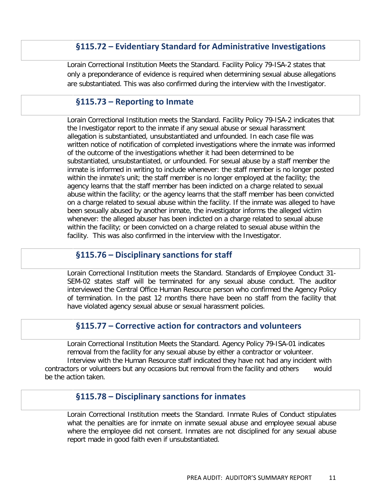## **§115.72 – Evidentiary Standard for Administrative Investigations**

Lorain Correctional Institution Meets the Standard. Facility Policy 79-ISA-2 states that only a preponderance of evidence is required when determining sexual abuse allegations are substantiated. This was also confirmed during the interview with the Investigator.

## **§115.73 – Reporting to Inmate**

Lorain Correctional Institution meets the Standard. Facility Policy 79-ISA-2 indicates that the Investigator report to the inmate if any sexual abuse or sexual harassment allegation is substantiated, unsubstantiated and unfounded. In each case file was written notice of notification of completed investigations where the inmate was informed of the outcome of the investigations whether it had been determined to be substantiated, unsubstantiated, or unfounded. For sexual abuse by a staff member the inmate is informed in writing to include whenever: the staff member is no longer posted within the inmate's unit; the staff member is no longer employed at the facility; the agency learns that the staff member has been indicted on a charge related to sexual abuse within the facility; or the agency learns that the staff member has been convicted on a charge related to sexual abuse within the facility. If the inmate was alleged to have been sexually abused by another inmate, the investigator informs the alleged victim whenever: the alleged abuser has been indicted on a charge related to sexual abuse within the facility; or been convicted on a charge related to sexual abuse within the facility. This was also confirmed in the interview with the Investigator.

## **§115.76 – Disciplinary sanctions for staff**

Lorain Correctional Institution meets the Standard. Standards of Employee Conduct 31- SEM-02 states staff will be terminated for any sexual abuse conduct. The auditor interviewed the Central Office Human Resource person who confirmed the Agency Policy of termination. In the past 12 months there have been no staff from the facility that have violated agency sexual abuse or sexual harassment policies.

#### **§115.77 – Corrective action for contractors and volunteers**

Lorain Correctional Institution Meets the Standard. Agency Policy 79-ISA-01 indicates removal from the facility for any sexual abuse by either a contractor or volunteer. Interview with the Human Resource staff indicated they have not had any incident with contractors or volunteers but any occasions but removal from the facility and others would be the action taken.

## **§115.78 – Disciplinary sanctions for inmates**

Lorain Correctional Institution meets the Standard. Inmate Rules of Conduct stipulates what the penalties are for inmate on inmate sexual abuse and employee sexual abuse where the employee did not consent. Inmates are not disciplined for any sexual abuse report made in good faith even if unsubstantiated.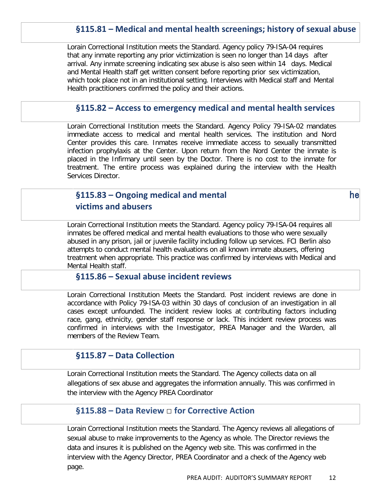# **§115.81 – Medical and mental health screenings; history of sexual abuse**

Lorain Correctional Institution meets the Standard. Agency policy 79-ISA-04 requires that any inmate reporting any prior victimization is seen no longer than 14 days after arrival. Any inmate screening indicating sex abuse is also seen within 14 days. Medical and Mental Health staff get written consent before reporting prior sex victimization, which took place not in an institutional setting. Interviews with Medical staff and Mental Health practitioners confirmed the policy and their actions.

#### **§115.82 – Access to emergency medical and mental health services**

Lorain Correctional Institution meets the Standard. Agency Policy 79-ISA-02 mandates immediate access to medical and mental health services. The institution and Nord Center provides this care. Inmates receive immediate access to sexually transmitted infection prophylaxis at the Center. Upon return from the Nord Center the inmate is placed in the Infirmary until seen by the Doctor. There is no cost to the inmate for treatment. The entire process was explained during the interview with the Health Services Director.

## **§115.83 – Ongoing medical and mental** he 
**victims and abusers**

Lorain Correctional Institution meets the Standard. Agency policy 79-ISA-04 requires all inmates be offered medical and mental health evaluations to those who were sexually abused in any prison, jail or juvenile facility including follow up services. FCI Berlin also attempts to conduct mental health evaluations on all known inmate abusers, offering treatment when appropriate. This practice was confirmed by interviews with Medical and Mental Health staff.

#### **§115.86 – Sexual abuse incident reviews**

Lorain Correctional Institution Meets the Standard. Post incident reviews are done in accordance with Policy 79-ISA-03 within 30 days of conclusion of an investigation in all cases except unfounded. The incident review looks at contributing factors including race, gang, ethnicity, gender staff response or lack. This incident review process was confirmed in interviews with the Investigator, PREA Manager and the Warden, all members of the Review Team.

#### **§115.87 – Data Collection**

Lorain Correctional Institution meets the Standard. The Agency collects data on all allegations of sex abuse and aggregates the information annually. This was confirmed in the interview with the Agency PREA Coordinator

#### **§115.88 – Data Review** □ **for Corrective Action**

Lorain Correctional Institution meets the Standard. The Agency reviews all allegations of sexual abuse to make improvements to the Agency as whole. The Director reviews the data and insures it is published on the Agency web site. This was confirmed in the interview with the Agency Director, PREA Coordinator and a check of the Agency web page.